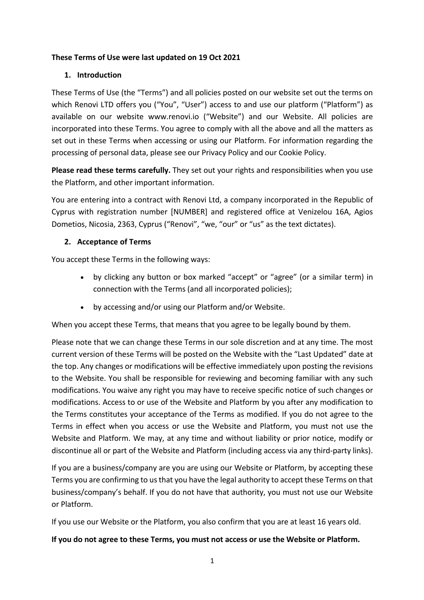## **These Terms of Use were last updated on 19 Oct 2021**

## **1. Introduction**

These Terms of Use (the "Terms") and all policies posted on our website set out the terms on which Renovi LTD offers you ("You", "User") access to and use our platform ("Platform") as available on our website www.renovi.io ("Website") and our Website. All policies are incorporated into these Terms. You agree to comply with all the above and all the matters as set out in these Terms when accessing or using our Platform. For information regarding the processing of personal data, please see our Privacy Policy and our Cookie Policy.

**Please read these terms carefully.** They set out your rights and responsibilities when you use the Platform, and other important information.

You are entering into a contract with Renovi Ltd, a company incorporated in the Republic of Cyprus with registration number [NUMBER] and registered office at Venizelou 16A, Agios Dometios, Nicosia, 2363, Cyprus ("Renovi", "we, "our" or "us" as the text dictates).

## **2. Acceptance of Terms**

You accept these Terms in the following ways:

- by clicking any button or box marked "accept" or "agree" (or a similar term) in connection with the Terms (and all incorporated policies);
- by accessing and/or using our Platform and/or Website.

When you accept these Terms, that means that you agree to be legally bound by them.

Please note that we can change these Terms in our sole discretion and at any time. The most current version of these Terms will be posted on the Website with the "Last Updated" date at the top. Any changes or modifications will be effective immediately upon posting the revisions to the Website. You shall be responsible for reviewing and becoming familiar with any such modifications. You waive any right you may have to receive specific notice of such changes or modifications. Access to or use of the Website and Platform by you after any modification to the Terms constitutes your acceptance of the Terms as modified. If you do not agree to the Terms in effect when you access or use the Website and Platform, you must not use the Website and Platform. We may, at any time and without liability or prior notice, modify or discontinue all or part of the Website and Platform (including access via any third-party links).

If you are a business/company are you are using our Website or Platform, by accepting these Terms you are confirming to us that you have the legal authority to accept these Terms on that business/company's behalf. If you do not have that authority, you must not use our Website or Platform.

If you use our Website or the Platform, you also confirm that you are at least 16 years old.

### **If you do not agree to these Terms, you must not access or use the Website or Platform.**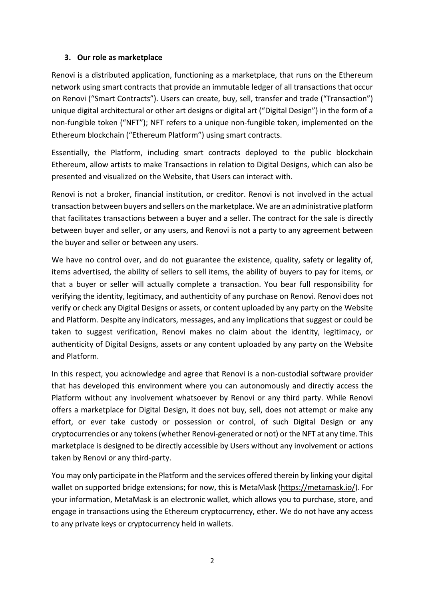### **3. Our role as marketplace**

Renovi is a distributed application, functioning as a marketplace, that runs on the Ethereum network using smart contracts that provide an immutable ledger of all transactions that occur on Renovi ("Smart Contracts"). Users can create, buy, sell, transfer and trade ("Transaction") unique digital architectural or other art designs or digital art ("Digital Design") in the form of a non-fungible token ("NFT"); NFT refers to a unique non-fungible token, implemented on the Ethereum blockchain ("Ethereum Platform") using smart contracts.

Essentially, the Platform, including smart contracts deployed to the public blockchain Ethereum, allow artists to make Transactions in relation to Digital Designs, which can also be presented and visualized on the Website, that Users can interact with.

Renovi is not a broker, financial institution, or creditor. Renovi is not involved in the actual transaction between buyers and sellers on the marketplace. We are an administrative platform that facilitates transactions between a buyer and a seller. The contract for the sale is directly between buyer and seller, or any users, and Renovi is not a party to any agreement between the buyer and seller or between any users.

We have no control over, and do not guarantee the existence, quality, safety or legality of, items advertised, the ability of sellers to sell items, the ability of buyers to pay for items, or that a buyer or seller will actually complete a transaction. You bear full responsibility for verifying the identity, legitimacy, and authenticity of any purchase on Renovi. Renovi does not verify or check any Digital Designs or assets, or content uploaded by any party on the Website and Platform. Despite any indicators, messages, and any implications that suggest or could be taken to suggest verification, Renovi makes no claim about the identity, legitimacy, or authenticity of Digital Designs, assets or any content uploaded by any party on the Website and Platform.

In this respect, you acknowledge and agree that Renovi is a non-custodial software provider that has developed this environment where you can autonomously and directly access the Platform without any involvement whatsoever by Renovi or any third party. While Renovi offers a marketplace for Digital Design, it does not buy, sell, does not attempt or make any effort, or ever take custody or possession or control, of such Digital Design or any cryptocurrencies or any tokens (whether Renovi-generated or not) or the NFT at any time. This marketplace is designed to be directly accessible by Users without any involvement or actions taken by Renovi or any third-party.

You may only participate in the Platform and the services offered therein by linking your digital wallet on supported bridge extensions; for now, this is MetaMask (https://metamask.io/). For your information, MetaMask is an electronic wallet, which allows you to purchase, store, and engage in transactions using the Ethereum cryptocurrency, ether. We do not have any access to any private keys or cryptocurrency held in wallets.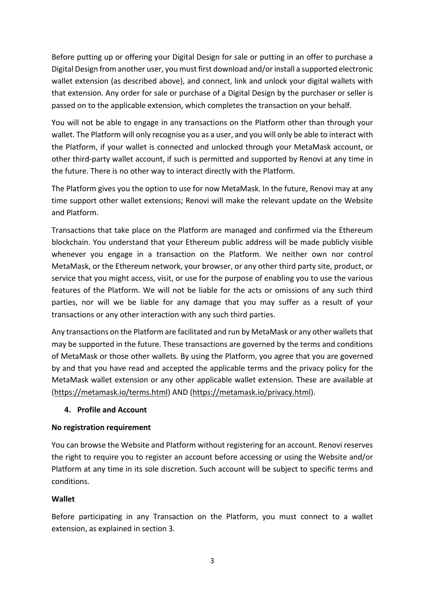Before putting up or offering your Digital Design for sale or putting in an offer to purchase a Digital Design from another user, you must first download and/or install a supported electronic wallet extension (as described above), and connect, link and unlock your digital wallets with that extension. Any order for sale or purchase of a Digital Design by the purchaser or seller is passed on to the applicable extension, which completes the transaction on your behalf.

You will not be able to engage in any transactions on the Platform other than through your wallet. The Platform will only recognise you as a user, and you will only be able to interact with the Platform, if your wallet is connected and unlocked through your MetaMask account, or other third-party wallet account, if such is permitted and supported by Renovi at any time in the future. There is no other way to interact directly with the Platform.

The Platform gives you the option to use for now MetaMask. In the future, Renovi may at any time support other wallet extensions; Renovi will make the relevant update on the Website and Platform.

Transactions that take place on the Platform are managed and confirmed via the Ethereum blockchain. You understand that your Ethereum public address will be made publicly visible whenever you engage in a transaction on the Platform. We neither own nor control MetaMask, or the Ethereum network, your browser, or any other third party site, product, or service that you might access, visit, or use for the purpose of enabling you to use the various features of the Platform. We will not be liable for the acts or omissions of any such third parties, nor will we be liable for any damage that you may suffer as a result of your transactions or any other interaction with any such third parties.

Any transactions on the Platform are facilitated and run by MetaMask or any other wallets that may be supported in the future. These transactions are governed by the terms and conditions of MetaMask or those other wallets. By using the Platform, you agree that you are governed by and that you have read and accepted the applicable terms and the privacy policy for the MetaMask wallet extension or any other applicable wallet extension. These are available at (https://metamask.io/terms.html) AND (https://metamask.io/privacy.html).

### **4. Profile and Account**

### **No registration requirement**

You can browse the Website and Platform without registering for an account. Renovi reserves the right to require you to register an account before accessing or using the Website and/or Platform at any time in its sole discretion. Such account will be subject to specific terms and conditions.

### **Wallet**

Before participating in any Transaction on the Platform, you must connect to a wallet extension, as explained in section 3.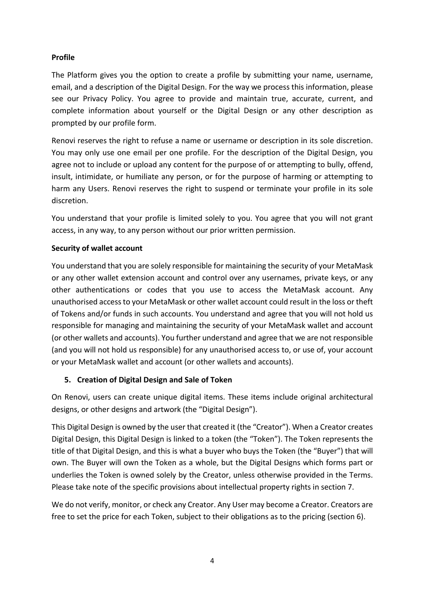### **Profile**

The Platform gives you the option to create a profile by submitting your name, username, email, and a description of the Digital Design. For the way we process this information, please see our Privacy Policy. You agree to provide and maintain true, accurate, current, and complete information about yourself or the Digital Design or any other description as prompted by our profile form.

Renovi reserves the right to refuse a name or username or description in its sole discretion. You may only use one email per one profile. For the description of the Digital Design, you agree not to include or upload any content for the purpose of or attempting to bully, offend, insult, intimidate, or humiliate any person, or for the purpose of harming or attempting to harm any Users. Renovi reserves the right to suspend or terminate your profile in its sole discretion.

You understand that your profile is limited solely to you. You agree that you will not grant access, in any way, to any person without our prior written permission.

### **Security of wallet account**

You understand that you are solely responsible for maintaining the security of your MetaMask or any other wallet extension account and control over any usernames, private keys, or any other authentications or codes that you use to access the MetaMask account. Any unauthorised access to your MetaMask or other wallet account could result in the loss or theft of Tokens and/or funds in such accounts. You understand and agree that you will not hold us responsible for managing and maintaining the security of your MetaMask wallet and account (or other wallets and accounts). You further understand and agree that we are not responsible (and you will not hold us responsible) for any unauthorised access to, or use of, your account or your MetaMask wallet and account (or other wallets and accounts).

### **5. Creation of Digital Design and Sale of Token**

On Renovi, users can create unique digital items. These items include original architectural designs, or other designs and artwork (the "Digital Design").

This Digital Design is owned by the user that created it (the "Creator"). When a Creator creates Digital Design, this Digital Design is linked to a token (the "Token"). The Token represents the title of that Digital Design, and this is what a buyer who buys the Token (the "Buyer") that will own. The Buyer will own the Token as a whole, but the Digital Designs which forms part or underlies the Token is owned solely by the Creator, unless otherwise provided in the Terms. Please take note of the specific provisions about intellectual property rights in section 7.

We do not verify, monitor, or check any Creator. Any User may become a Creator. Creators are free to set the price for each Token, subject to their obligations as to the pricing (section 6).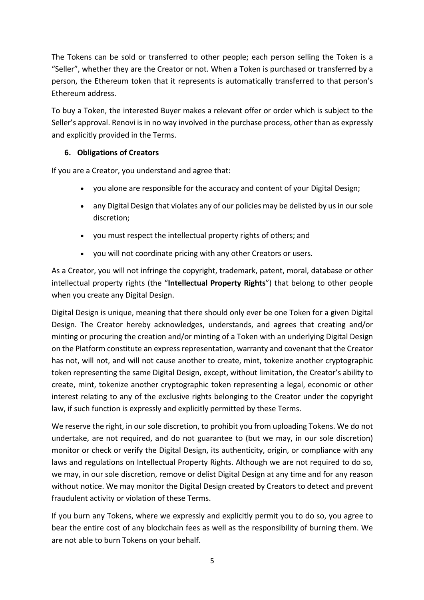The Tokens can be sold or transferred to other people; each person selling the Token is a "Seller", whether they are the Creator or not. When a Token is purchased or transferred by a person, the Ethereum token that it represents is automatically transferred to that person's Ethereum address.

To buy a Token, the interested Buyer makes a relevant offer or order which is subject to the Seller's approval. Renovi is in no way involved in the purchase process, other than as expressly and explicitly provided in the Terms.

## **6. Obligations of Creators**

If you are a Creator, you understand and agree that:

- you alone are responsible for the accuracy and content of your Digital Design;
- any Digital Design that violates any of our policies may be delisted by us in our sole discretion;
- you must respect the intellectual property rights of others; and
- you will not coordinate pricing with any other Creators or users.

As a Creator, you will not infringe the copyright, trademark, patent, moral, database or other intellectual property rights (the "**Intellectual Property Rights**") that belong to other people when you create any Digital Design.

Digital Design is unique, meaning that there should only ever be one Token for a given Digital Design. The Creator hereby acknowledges, understands, and agrees that creating and/or minting or procuring the creation and/or minting of a Token with an underlying Digital Design on the Platform constitute an express representation, warranty and covenant that the Creator has not, will not, and will not cause another to create, mint, tokenize another cryptographic token representing the same Digital Design, except, without limitation, the Creator's ability to create, mint, tokenize another cryptographic token representing a legal, economic or other interest relating to any of the exclusive rights belonging to the Creator under the copyright law, if such function is expressly and explicitly permitted by these Terms.

We reserve the right, in our sole discretion, to prohibit you from uploading Tokens. We do not undertake, are not required, and do not guarantee to (but we may, in our sole discretion) monitor or check or verify the Digital Design, its authenticity, origin, or compliance with any laws and regulations on Intellectual Property Rights. Although we are not required to do so, we may, in our sole discretion, remove or delist Digital Design at any time and for any reason without notice. We may monitor the Digital Design created by Creators to detect and prevent fraudulent activity or violation of these Terms.

If you burn any Tokens, where we expressly and explicitly permit you to do so, you agree to bear the entire cost of any blockchain fees as well as the responsibility of burning them. We are not able to burn Tokens on your behalf.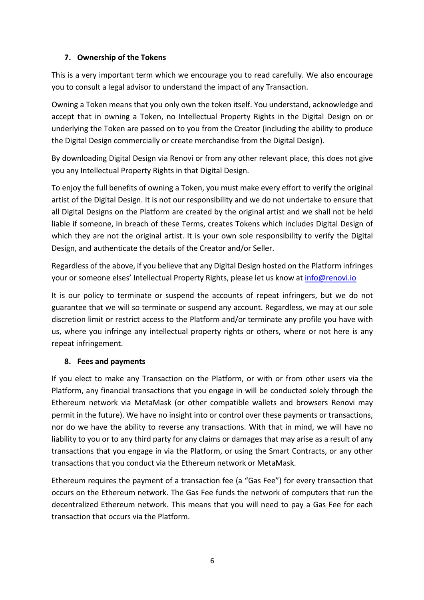## **7. Ownership of the Tokens**

This is a very important term which we encourage you to read carefully. We also encourage you to consult a legal advisor to understand the impact of any Transaction.

Owning a Token means that you only own the token itself. You understand, acknowledge and accept that in owning a Token, no Intellectual Property Rights in the Digital Design on or underlying the Token are passed on to you from the Creator (including the ability to produce the Digital Design commercially or create merchandise from the Digital Design).

By downloading Digital Design via Renovi or from any other relevant place, this does not give you any Intellectual Property Rights in that Digital Design.

To enjoy the full benefits of owning a Token, you must make every effort to verify the original artist of the Digital Design. It is not our responsibility and we do not undertake to ensure that all Digital Designs on the Platform are created by the original artist and we shall not be held liable if someone, in breach of these Terms, creates Tokens which includes Digital Design of which they are not the original artist. It is your own sole responsibility to verify the Digital Design, and authenticate the details of the Creator and/or Seller.

Regardless of the above, if you believe that any Digital Design hosted on the Platform infringes your or someone elses' Intellectual Property Rights, please let us know at info@renovi.io

It is our policy to terminate or suspend the accounts of repeat infringers, but we do not guarantee that we will so terminate or suspend any account. Regardless, we may at our sole discretion limit or restrict access to the Platform and/or terminate any profile you have with us, where you infringe any intellectual property rights or others, where or not here is any repeat infringement.

## **8. Fees and payments**

If you elect to make any Transaction on the Platform, or with or from other users via the Platform, any financial transactions that you engage in will be conducted solely through the Ethereum network via MetaMask (or other compatible wallets and browsers Renovi may permit in the future). We have no insight into or control over these payments or transactions, nor do we have the ability to reverse any transactions. With that in mind, we will have no liability to you or to any third party for any claims or damages that may arise as a result of any transactions that you engage in via the Platform, or using the Smart Contracts, or any other transactions that you conduct via the Ethereum network or MetaMask.

Ethereum requires the payment of a transaction fee (a "Gas Fee") for every transaction that occurs on the Ethereum network. The Gas Fee funds the network of computers that run the decentralized Ethereum network. This means that you will need to pay a Gas Fee for each transaction that occurs via the Platform.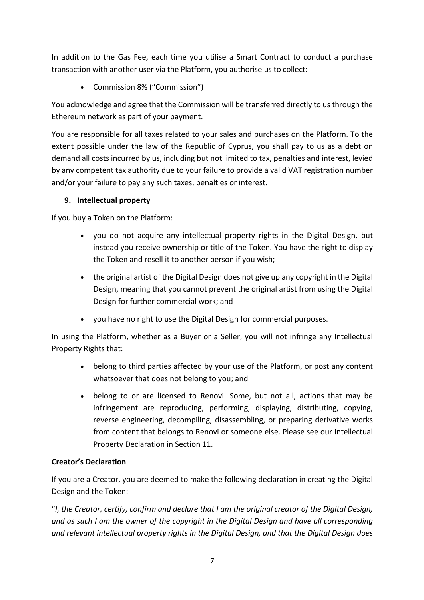In addition to the Gas Fee, each time you utilise a Smart Contract to conduct a purchase transaction with another user via the Platform, you authorise us to collect:

• Commission 8% ("Commission")

You acknowledge and agree that the Commission will be transferred directly to us through the Ethereum network as part of your payment.

You are responsible for all taxes related to your sales and purchases on the Platform. To the extent possible under the law of the Republic of Cyprus, you shall pay to us as a debt on demand all costs incurred by us, including but not limited to tax, penalties and interest, levied by any competent tax authority due to your failure to provide a valid VAT registration number and/or your failure to pay any such taxes, penalties or interest.

## **9. Intellectual property**

If you buy a Token on the Platform:

- you do not acquire any intellectual property rights in the Digital Design, but instead you receive ownership or title of the Token. You have the right to display the Token and resell it to another person if you wish;
- the original artist of the Digital Design does not give up any copyright in the Digital Design, meaning that you cannot prevent the original artist from using the Digital Design for further commercial work; and
- you have no right to use the Digital Design for commercial purposes.

In using the Platform, whether as a Buyer or a Seller, you will not infringe any Intellectual Property Rights that:

- belong to third parties affected by your use of the Platform, or post any content whatsoever that does not belong to you; and
- belong to or are licensed to Renovi. Some, but not all, actions that may be infringement are reproducing, performing, displaying, distributing, copying, reverse engineering, decompiling, disassembling, or preparing derivative works from content that belongs to Renovi or someone else. Please see our Intellectual Property Declaration in Section 11.

## **Creator's Declaration**

If you are a Creator, you are deemed to make the following declaration in creating the Digital Design and the Token:

"*I, the Creator, certify, confirm and declare that I am the original creator of the Digital Design, and as such I am the owner of the copyright in the Digital Design and have all corresponding and relevant intellectual property rights in the Digital Design, and that the Digital Design does*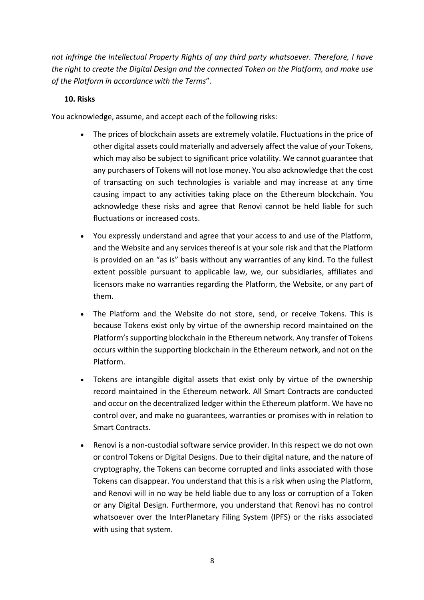*not infringe the Intellectual Property Rights of any third party whatsoever. Therefore, I have the right to create the Digital Design and the connected Token on the Platform, and make use of the Platform in accordance with the Terms*".

## **10. Risks**

You acknowledge, assume, and accept each of the following risks:

- The prices of blockchain assets are extremely volatile. Fluctuations in the price of other digital assets could materially and adversely affect the value of your Tokens, which may also be subject to significant price volatility. We cannot guarantee that any purchasers of Tokens will not lose money. You also acknowledge that the cost of transacting on such technologies is variable and may increase at any time causing impact to any activities taking place on the Ethereum blockchain. You acknowledge these risks and agree that Renovi cannot be held liable for such fluctuations or increased costs.
- You expressly understand and agree that your access to and use of the Platform, and the Website and any services thereof is at your sole risk and that the Platform is provided on an "as is" basis without any warranties of any kind. To the fullest extent possible pursuant to applicable law, we, our subsidiaries, affiliates and licensors make no warranties regarding the Platform, the Website, or any part of them.
- The Platform and the Website do not store, send, or receive Tokens. This is because Tokens exist only by virtue of the ownership record maintained on the Platform'ssupporting blockchain in the Ethereum network. Any transfer of Tokens occurs within the supporting blockchain in the Ethereum network, and not on the Platform.
- Tokens are intangible digital assets that exist only by virtue of the ownership record maintained in the Ethereum network. All Smart Contracts are conducted and occur on the decentralized ledger within the Ethereum platform. We have no control over, and make no guarantees, warranties or promises with in relation to Smart Contracts.
- Renovi is a non-custodial software service provider. In this respect we do not own or control Tokens or Digital Designs. Due to their digital nature, and the nature of cryptography, the Tokens can become corrupted and links associated with those Tokens can disappear. You understand that this is a risk when using the Platform, and Renovi will in no way be held liable due to any loss or corruption of a Token or any Digital Design. Furthermore, you understand that Renovi has no control whatsoever over the InterPlanetary Filing System (IPFS) or the risks associated with using that system.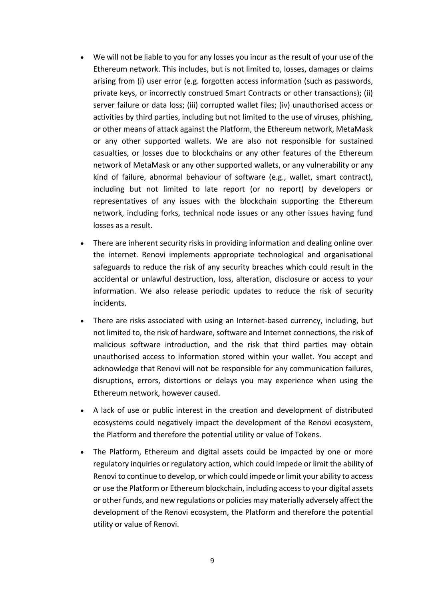- We will not be liable to you for any losses you incur as the result of your use of the Ethereum network. This includes, but is not limited to, losses, damages or claims arising from (i) user error (e.g. forgotten access information (such as passwords, private keys, or incorrectly construed Smart Contracts or other transactions); (ii) server failure or data loss; (iii) corrupted wallet files; (iv) unauthorised access or activities by third parties, including but not limited to the use of viruses, phishing, or other means of attack against the Platform, the Ethereum network, MetaMask or any other supported wallets. We are also not responsible for sustained casualties, or losses due to blockchains or any other features of the Ethereum network of MetaMask or any other supported wallets, or any vulnerability or any kind of failure, abnormal behaviour of software (e.g., wallet, smart contract), including but not limited to late report (or no report) by developers or representatives of any issues with the blockchain supporting the Ethereum network, including forks, technical node issues or any other issues having fund losses as a result.
- There are inherent security risks in providing information and dealing online over the internet. Renovi implements appropriate technological and organisational safeguards to reduce the risk of any security breaches which could result in the accidental or unlawful destruction, loss, alteration, disclosure or access to your information. We also release periodic updates to reduce the risk of security incidents.
- There are risks associated with using an Internet-based currency, including, but not limited to, the risk of hardware, software and Internet connections, the risk of malicious software introduction, and the risk that third parties may obtain unauthorised access to information stored within your wallet. You accept and acknowledge that Renovi will not be responsible for any communication failures, disruptions, errors, distortions or delays you may experience when using the Ethereum network, however caused.
- A lack of use or public interest in the creation and development of distributed ecosystems could negatively impact the development of the Renovi ecosystem, the Platform and therefore the potential utility or value of Tokens.
- The Platform, Ethereum and digital assets could be impacted by one or more regulatory inquiries or regulatory action, which could impede or limit the ability of Renovito continue to develop, or which could impede or limit your ability to access or use the Platform or Ethereum blockchain, including access to your digital assets or other funds, and new regulations or policies may materially adversely affect the development of the Renovi ecosystem, the Platform and therefore the potential utility or value of Renovi.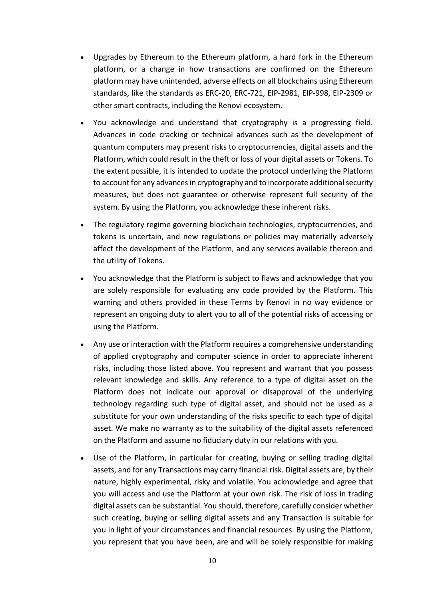- Upgrades by Ethereum to the Ethereum platform, a hard fork in the Ethereum platform, or a change in how transactions are confirmed on the Ethereum platform may have unintended, adverse effects on all blockchains using Ethereum standards, like the standards as ERC-20, ERC-721, EIP-2981, EIP-998, EIP-2309 or other smart contracts, including the Renovi ecosystem.
- You acknowledge and understand that cryptography is a progressing field. Advances in code cracking or technical advances such as the development of quantum computers may present risks to cryptocurrencies, digital assets and the Platform, which could result in the theft or loss of your digital assets or Tokens. To the extent possible, it is intended to update the protocol underlying the Platform to account for any advances in cryptography and to incorporate additional security measures, but does not guarantee or otherwise represent full security of the system. By using the Platform, you acknowledge these inherent risks.
- The regulatory regime governing blockchain technologies, cryptocurrencies, and tokens is uncertain, and new regulations or policies may materially adversely affect the development of the Platform, and any services available thereon and the utility of Tokens.
- You acknowledge that the Platform is subject to flaws and acknowledge that you are solely responsible for evaluating any code provided by the Platform. This warning and others provided in these Terms by Renovi in no way evidence or represent an ongoing duty to alert you to all of the potential risks of accessing or using the Platform.
- Any use or interaction with the Platform requires a comprehensive understanding of applied cryptography and computer science in order to appreciate inherent risks, including those listed above. You represent and warrant that you possess relevant knowledge and skills. Any reference to a type of digital asset on the Platform does not indicate our approval or disapproval of the underlying technology regarding such type of digital asset, and should not be used as a substitute for your own understanding of the risks specific to each type of digital asset. We make no warranty as to the suitability of the digital assets referenced on the Platform and assume no fiduciary duty in our relations with you.
- Use of the Platform, in particular for creating, buying or selling trading digital assets, and for any Transactions may carry financial risk. Digital assets are, by their nature, highly experimental, risky and volatile. You acknowledge and agree that you will access and use the Platform at your own risk. The risk of loss in trading digital assets can be substantial. You should, therefore, carefully consider whether such creating, buying or selling digital assets and any Transaction is suitable for you in light of your circumstances and financial resources. By using the Platform, you represent that you have been, are and will be solely responsible for making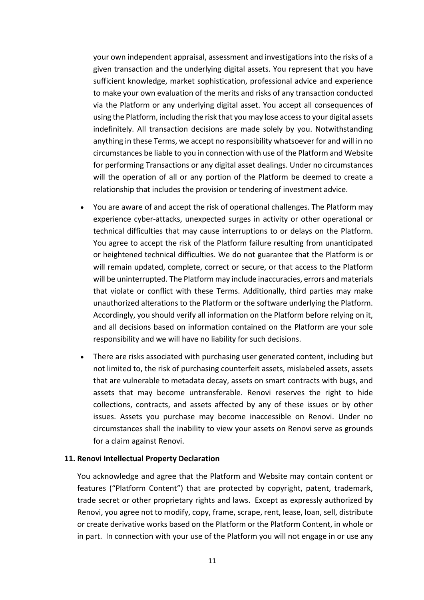your own independent appraisal, assessment and investigations into the risks of a given transaction and the underlying digital assets. You represent that you have sufficient knowledge, market sophistication, professional advice and experience to make your own evaluation of the merits and risks of any transaction conducted via the Platform or any underlying digital asset. You accept all consequences of using the Platform, including the risk that you may lose access to your digital assets indefinitely. All transaction decisions are made solely by you. Notwithstanding anything in these Terms, we accept no responsibility whatsoever for and will in no circumstances be liable to you in connection with use of the Platform and Website for performing Transactions or any digital asset dealings. Under no circumstances will the operation of all or any portion of the Platform be deemed to create a relationship that includes the provision or tendering of investment advice.

- You are aware of and accept the risk of operational challenges. The Platform may experience cyber-attacks, unexpected surges in activity or other operational or technical difficulties that may cause interruptions to or delays on the Platform. You agree to accept the risk of the Platform failure resulting from unanticipated or heightened technical difficulties. We do not guarantee that the Platform is or will remain updated, complete, correct or secure, or that access to the Platform will be uninterrupted. The Platform may include inaccuracies, errors and materials that violate or conflict with these Terms. Additionally, third parties may make unauthorized alterations to the Platform or the software underlying the Platform. Accordingly, you should verify all information on the Platform before relying on it, and all decisions based on information contained on the Platform are your sole responsibility and we will have no liability for such decisions.
- There are risks associated with purchasing user generated content, including but not limited to, the risk of purchasing counterfeit assets, mislabeled assets, assets that are vulnerable to metadata decay, assets on smart contracts with bugs, and assets that may become untransferable. Renovi reserves the right to hide collections, contracts, and assets affected by any of these issues or by other issues. Assets you purchase may become inaccessible on Renovi. Under no circumstances shall the inability to view your assets on Renovi serve as grounds for a claim against Renovi.

#### **11. Renovi Intellectual Property Declaration**

You acknowledge and agree that the Platform and Website may contain content or features ("Platform Content") that are protected by copyright, patent, trademark, trade secret or other proprietary rights and laws. Except as expressly authorized by Renovi, you agree not to modify, copy, frame, scrape, rent, lease, loan, sell, distribute or create derivative works based on the Platform or the Platform Content, in whole or in part. In connection with your use of the Platform you will not engage in or use any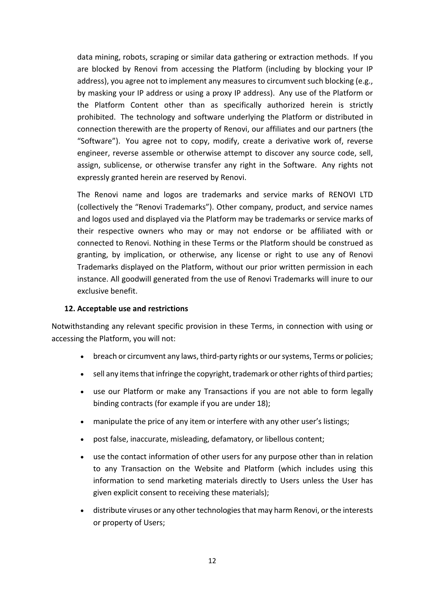data mining, robots, scraping or similar data gathering or extraction methods. If you are blocked by Renovi from accessing the Platform (including by blocking your IP address), you agree not to implement any measures to circumvent such blocking (e.g., by masking your IP address or using a proxy IP address). Any use of the Platform or the Platform Content other than as specifically authorized herein is strictly prohibited. The technology and software underlying the Platform or distributed in connection therewith are the property of Renovi, our affiliates and our partners (the "Software"). You agree not to copy, modify, create a derivative work of, reverse engineer, reverse assemble or otherwise attempt to discover any source code, sell, assign, sublicense, or otherwise transfer any right in the Software. Any rights not expressly granted herein are reserved by Renovi.

The Renovi name and logos are trademarks and service marks of RENOVI LTD (collectively the "Renovi Trademarks"). Other company, product, and service names and logos used and displayed via the Platform may be trademarks or service marks of their respective owners who may or may not endorse or be affiliated with or connected to Renovi. Nothing in these Terms or the Platform should be construed as granting, by implication, or otherwise, any license or right to use any of Renovi Trademarks displayed on the Platform, without our prior written permission in each instance. All goodwill generated from the use of Renovi Trademarks will inure to our exclusive benefit.

#### **12. Acceptable use and restrictions**

Notwithstanding any relevant specific provision in these Terms, in connection with using or accessing the Platform, you will not:

- breach or circumvent any laws, third-party rights or our systems, Terms or policies;
- sell any items that infringe the copyright, trademark or other rights of third parties;
- use our Platform or make any Transactions if you are not able to form legally binding contracts (for example if you are under 18);
- manipulate the price of any item or interfere with any other user's listings;
- post false, inaccurate, misleading, defamatory, or libellous content;
- use the contact information of other users for any purpose other than in relation to any Transaction on the Website and Platform (which includes using this information to send marketing materials directly to Users unless the User has given explicit consent to receiving these materials);
- distribute viruses or any other technologies that may harm Renovi, or the interests or property of Users;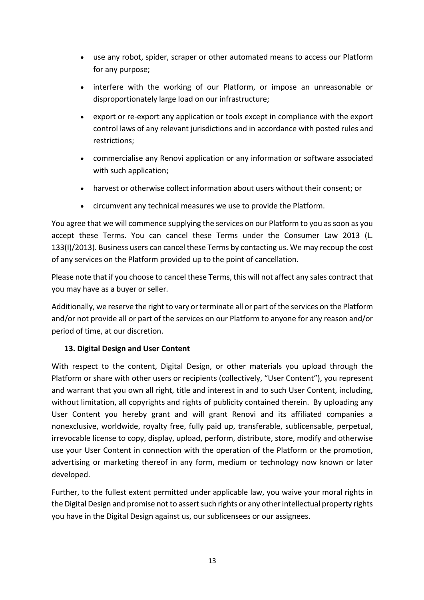- use any robot, spider, scraper or other automated means to access our Platform for any purpose;
- interfere with the working of our Platform, or impose an unreasonable or disproportionately large load on our infrastructure;
- export or re-export any application or tools except in compliance with the export control laws of any relevant jurisdictions and in accordance with posted rules and restrictions;
- commercialise any Renovi application or any information or software associated with such application:
- harvest or otherwise collect information about users without their consent; or
- circumvent any technical measures we use to provide the Platform.

You agree that we will commence supplying the services on our Platform to you as soon as you accept these Terms. You can cancel these Terms under the Consumer Law 2013 (L. 133(I)/2013). Business users can cancel these Terms by contacting us. We may recoup the cost of any services on the Platform provided up to the point of cancellation.

Please note that if you choose to cancel these Terms, this will not affect any sales contract that you may have as a buyer or seller.

Additionally, we reserve the right to vary or terminate all or part of the services on the Platform and/or not provide all or part of the services on our Platform to anyone for any reason and/or period of time, at our discretion.

## **13. Digital Design and User Content**

With respect to the content, Digital Design, or other materials you upload through the Platform or share with other users or recipients (collectively, "User Content"), you represent and warrant that you own all right, title and interest in and to such User Content, including, without limitation, all copyrights and rights of publicity contained therein. By uploading any User Content you hereby grant and will grant Renovi and its affiliated companies a nonexclusive, worldwide, royalty free, fully paid up, transferable, sublicensable, perpetual, irrevocable license to copy, display, upload, perform, distribute, store, modify and otherwise use your User Content in connection with the operation of the Platform or the promotion, advertising or marketing thereof in any form, medium or technology now known or later developed.

Further, to the fullest extent permitted under applicable law, you waive your moral rights in the Digital Design and promise not to assert such rights or any other intellectual property rights you have in the Digital Design against us, our sublicensees or our assignees.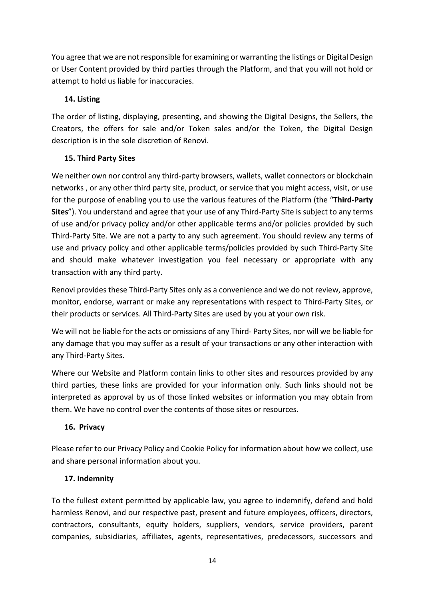You agree that we are not responsible for examining or warranting the listings or Digital Design or User Content provided by third parties through the Platform, and that you will not hold or attempt to hold us liable for inaccuracies.

## **14. Listing**

The order of listing, displaying, presenting, and showing the Digital Designs, the Sellers, the Creators, the offers for sale and/or Token sales and/or the Token, the Digital Design description is in the sole discretion of Renovi.

## **15. Third Party Sites**

We neither own nor control any third-party browsers, wallets, wallet connectors or blockchain networks , or any other third party site, product, or service that you might access, visit, or use for the purpose of enabling you to use the various features of the Platform (the "**Third-Party Sites**"). You understand and agree that your use of any Third-Party Site is subject to any terms of use and/or privacy policy and/or other applicable terms and/or policies provided by such Third-Party Site. We are not a party to any such agreement. You should review any terms of use and privacy policy and other applicable terms/policies provided by such Third-Party Site and should make whatever investigation you feel necessary or appropriate with any transaction with any third party.

Renovi provides these Third-Party Sites only as a convenience and we do not review, approve, monitor, endorse, warrant or make any representations with respect to Third-Party Sites, or their products or services. All Third-Party Sites are used by you at your own risk.

We will not be liable for the acts or omissions of any Third- Party Sites, nor will we be liable for any damage that you may suffer as a result of your transactions or any other interaction with any Third-Party Sites.

Where our Website and Platform contain links to other sites and resources provided by any third parties, these links are provided for your information only. Such links should not be interpreted as approval by us of those linked websites or information you may obtain from them. We have no control over the contents of those sites or resources.

## **16. Privacy**

Please refer to our Privacy Policy and Cookie Policy for information about how we collect, use and share personal information about you.

### **17. Indemnity**

To the fullest extent permitted by applicable law, you agree to indemnify, defend and hold harmless Renovi, and our respective past, present and future employees, officers, directors, contractors, consultants, equity holders, suppliers, vendors, service providers, parent companies, subsidiaries, affiliates, agents, representatives, predecessors, successors and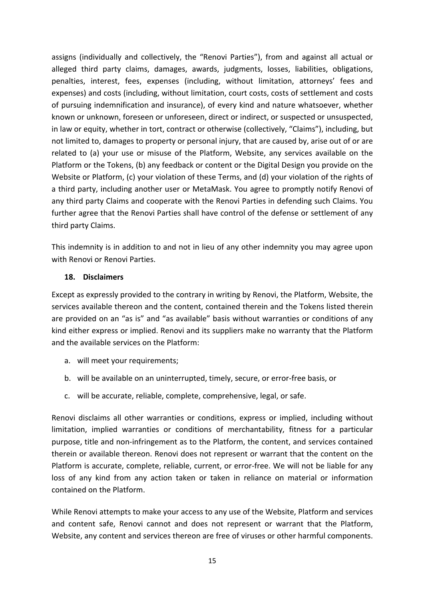assigns (individually and collectively, the "Renovi Parties"), from and against all actual or alleged third party claims, damages, awards, judgments, losses, liabilities, obligations, penalties, interest, fees, expenses (including, without limitation, attorneys' fees and expenses) and costs (including, without limitation, court costs, costs of settlement and costs of pursuing indemnification and insurance), of every kind and nature whatsoever, whether known or unknown, foreseen or unforeseen, direct or indirect, or suspected or unsuspected, in law or equity, whether in tort, contract or otherwise (collectively, "Claims"), including, but not limited to, damages to property or personal injury, that are caused by, arise out of or are related to (a) your use or misuse of the Platform, Website, any services available on the Platform or the Tokens, (b) any feedback or content or the Digital Design you provide on the Website or Platform, (c) your violation of these Terms, and (d) your violation of the rights of a third party, including another user or MetaMask. You agree to promptly notify Renovi of any third party Claims and cooperate with the Renovi Parties in defending such Claims. You further agree that the Renovi Parties shall have control of the defense or settlement of any third party Claims.

This indemnity is in addition to and not in lieu of any other indemnity you may agree upon with Renovi or Renovi Parties.

### **18. Disclaimers**

Except as expressly provided to the contrary in writing by Renovi, the Platform, Website, the services available thereon and the content, contained therein and the Tokens listed therein are provided on an "as is" and "as available" basis without warranties or conditions of any kind either express or implied. Renovi and its suppliers make no warranty that the Platform and the available services on the Platform:

- a. will meet your requirements;
- b. will be available on an uninterrupted, timely, secure, or error-free basis, or
- c. will be accurate, reliable, complete, comprehensive, legal, or safe.

Renovi disclaims all other warranties or conditions, express or implied, including without limitation, implied warranties or conditions of merchantability, fitness for a particular purpose, title and non-infringement as to the Platform, the content, and services contained therein or available thereon. Renovi does not represent or warrant that the content on the Platform is accurate, complete, reliable, current, or error-free. We will not be liable for any loss of any kind from any action taken or taken in reliance on material or information contained on the Platform.

While Renovi attempts to make your access to any use of the Website, Platform and services and content safe, Renovi cannot and does not represent or warrant that the Platform, Website, any content and services thereon are free of viruses or other harmful components.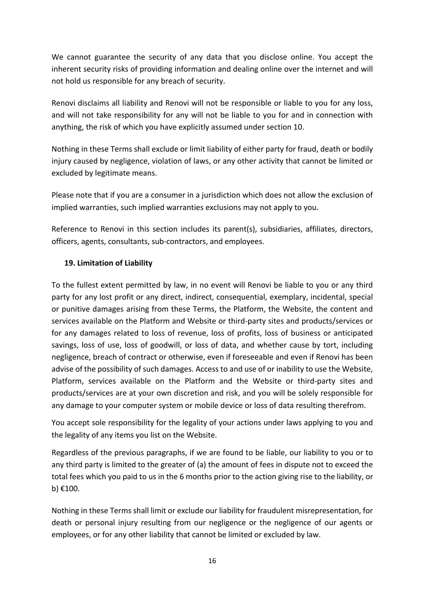We cannot guarantee the security of any data that you disclose online. You accept the inherent security risks of providing information and dealing online over the internet and will not hold us responsible for any breach of security.

Renovi disclaims all liability and Renovi will not be responsible or liable to you for any loss, and will not take responsibility for any will not be liable to you for and in connection with anything, the risk of which you have explicitly assumed under section 10.

Nothing in these Terms shall exclude or limit liability of either party for fraud, death or bodily injury caused by negligence, violation of laws, or any other activity that cannot be limited or excluded by legitimate means.

Please note that if you are a consumer in a jurisdiction which does not allow the exclusion of implied warranties, such implied warranties exclusions may not apply to you.

Reference to Renovi in this section includes its parent(s), subsidiaries, affiliates, directors, officers, agents, consultants, sub-contractors, and employees.

## **19. Limitation of Liability**

To the fullest extent permitted by law, in no event will Renovi be liable to you or any third party for any lost profit or any direct, indirect, consequential, exemplary, incidental, special or punitive damages arising from these Terms, the Platform, the Website, the content and services available on the Platform and Website or third-party sites and products/services or for any damages related to loss of revenue, loss of profits, loss of business or anticipated savings, loss of use, loss of goodwill, or loss of data, and whether cause by tort, including negligence, breach of contract or otherwise, even if foreseeable and even if Renovi has been advise of the possibility of such damages. Access to and use of or inability to use the Website, Platform, services available on the Platform and the Website or third-party sites and products/services are at your own discretion and risk, and you will be solely responsible for any damage to your computer system or mobile device or loss of data resulting therefrom.

You accept sole responsibility for the legality of your actions under laws applying to you and the legality of any items you list on the Website.

Regardless of the previous paragraphs, if we are found to be liable, our liability to you or to any third party is limited to the greater of (a) the amount of fees in dispute not to exceed the total fees which you paid to us in the 6 months prior to the action giving rise to the liability, or b) €100.

Nothing in these Terms shall limit or exclude our liability for fraudulent misrepresentation, for death or personal injury resulting from our negligence or the negligence of our agents or employees, or for any other liability that cannot be limited or excluded by law.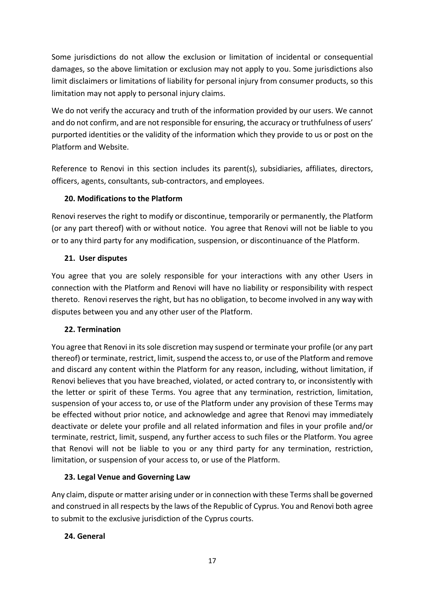Some jurisdictions do not allow the exclusion or limitation of incidental or consequential damages, so the above limitation or exclusion may not apply to you. Some jurisdictions also limit disclaimers or limitations of liability for personal injury from consumer products, so this limitation may not apply to personal injury claims.

We do not verify the accuracy and truth of the information provided by our users. We cannot and do not confirm, and are not responsible for ensuring, the accuracy or truthfulness of users' purported identities or the validity of the information which they provide to us or post on the Platform and Website.

Reference to Renovi in this section includes its parent(s), subsidiaries, affiliates, directors, officers, agents, consultants, sub-contractors, and employees.

# **20. Modifications to the Platform**

Renovi reserves the right to modify or discontinue, temporarily or permanently, the Platform (or any part thereof) with or without notice. You agree that Renovi will not be liable to you or to any third party for any modification, suspension, or discontinuance of the Platform.

# **21. User disputes**

You agree that you are solely responsible for your interactions with any other Users in connection with the Platform and Renovi will have no liability or responsibility with respect thereto. Renovi reserves the right, but has no obligation, to become involved in any way with disputes between you and any other user of the Platform.

## **22. Termination**

You agree that Renovi in its sole discretion may suspend or terminate your profile (or any part thereof) or terminate, restrict, limit, suspend the access to, or use of the Platform and remove and discard any content within the Platform for any reason, including, without limitation, if Renovi believes that you have breached, violated, or acted contrary to, or inconsistently with the letter or spirit of these Terms. You agree that any termination, restriction, limitation, suspension of your access to, or use of the Platform under any provision of these Terms may be effected without prior notice, and acknowledge and agree that Renovi may immediately deactivate or delete your profile and all related information and files in your profile and/or terminate, restrict, limit, suspend, any further access to such files or the Platform. You agree that Renovi will not be liable to you or any third party for any termination, restriction, limitation, or suspension of your access to, or use of the Platform.

# **23. Legal Venue and Governing Law**

Any claim, dispute or matter arising under or in connection with these Terms shall be governed and construed in all respects by the laws of the Republic of Cyprus. You and Renovi both agree to submit to the exclusive jurisdiction of the Cyprus courts.

# **24. General**